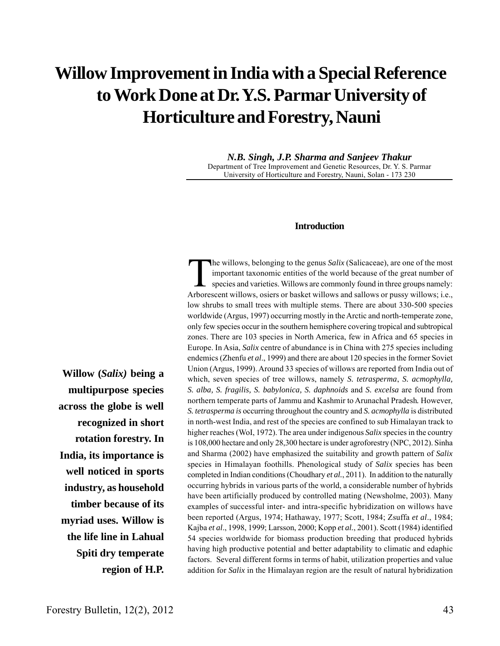# **Willow Improvement in India with a Special Reference to Work Done at Dr. Y.S. Parmar University of Horticulture and Forestry, Nauni**

*N.B. Singh, J.P. Sharma and Sanjeev Thakur* Department of Tree Improvement and Genetic Resources, Dr. Y. S. Parmar University of Horticulture and Forestry, Nauni, Solan - 173 230

#### **Introduction**

**Willow (***Salix)* **being a multipurpose species across the globe is well recognized in short rotation forestry. In India, its importance is well noticed in sports industry, as household timber because of its myriad uses. Willow is the life line in Lahual Spiti dry temperate region of H.P.**

The willows, belonging to the genus *Salix* (Salicaceae), are one of the most<br>important taxonomic entities of the world because of the great number of<br>species and varieties. Willows are commonly found in three groups namel important taxonomic entities of the world because of the great number of species and varieties. Willows are commonly found in three groups namely: Arborescent willows, osiers or basket willows and sallows or pussy willows; i.e., low shrubs to small trees with multiple stems. There are about 330-500 species worldwide (Argus, 1997) occurring mostly in the Arctic and north-temperate zone, only few species occur in the southern hemisphere covering tropical and subtropical zones. There are 103 species in North America, few in Africa and 65 species in Europe. In Asia, *Salix* centre of abundance is in China with 275 species including endemics (Zhenfu *et al*., 1999) and there are about 120 species in the former Soviet Union (Argus, 1999). Around 33 species of willows are reported from India out of which, seven species of tree willows, namely *S. tetrasperma*, *S. acmophylla, S. alba, S. fragilis, S. babylonica, S. daphnoids* and *S. excelsa* are found from northern temperate parts of Jammu and Kashmir to Arunachal Pradesh*.* However, *S. tetrasperma is* occurring throughout the country and *S. acmophylla* is distributed in north-west India, and rest of the species are confined to sub Himalayan track to higher reaches (WoI, 1972). The area under indigenous *Salix* species in the country is 108,000 hectare and only 28,300 hectare is under agroforestry (NPC, 2012). Sinha and Sharma (2002) have emphasized the suitability and growth pattern of *Salix* species in Himalayan foothills. Phenological study of *Salix* species has been completed in Indian conditions (Choudhary *et al.*, 2011). In addition to the naturally occurring hybrids in various parts of the world, a considerable number of hybrids have been artificially produced by controlled mating (Newsholme, 2003). Many examples of successful inter- and intra-specific hybridization on willows have been reported (Argus, 1974; Hathaway, 1977; Scott, 1984; Zsuffa *et al*., 1984; Kajba *et al*., 1998, 1999; Larsson, 2000; Kopp *et al.*, 2001). Scott (1984) identified 54 species worldwide for biomass production breeding that produced hybrids having high productive potential and better adaptability to climatic and edaphic factors. Several different forms in terms of habit, utilization properties and value addition for *Salix* in the Himalayan region are the result of natural hybridization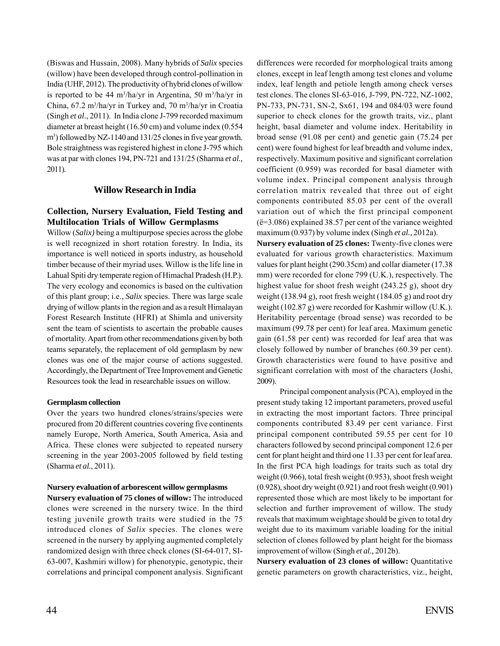(Biswas and Hussain, 2008). Many hybrids of *Salix* species (willow) have been developed through control-pollination in India (UHF, 2012). The productivity of hybrid clones of willow is reported to be 44 m<sup>3</sup>/ha/yr in Argentina, 50 m<sup>3</sup>/ha/yr in China, 67.2 m<sup>3</sup>/ha/yr in Turkey and, 70 m<sup>3</sup>/ha/yr in Croatia (Singh *et al*., 2011). In India clone J-799 recorded maximum diameter at breast height (16.50 cm) and volume index (0.554 m<sup>3</sup>) followed by NZ-1140 and 131/25 clones in five year growth. Bole straightness was registered highest in clone J-795 which was at par with clones 194, PN-721 and 131/25 (Sharma *et al.,* 2011).

#### **Willow Research in India**

## **Collection, Nursery Evaluation, Field Testing and Multilocation Trials of Willow Germplasms**

Willow (*Salix)* being a multipurpose species across the globe is well recognized in short rotation forestry. In India, its importance is well noticed in sports industry, as household timber because of their myriad uses. Willow is the life line in Lahual Spiti dry temperate region of Himachal Pradesh (H.P.). The very ecology and economics is based on the cultivation of this plant group; i.e., *Salix* species. There was large scale drying of willow plants in the region and as a result Himalayan Forest Research Institute (HFRI) at Shimla and university sent the team of scientists to ascertain the probable causes of mortality. Apart from other recommendations given by both teams separately, the replacement of old germplasm by new clones was one of the major course of actions suggested. Accordingly, the Department of Tree Improvement and Genetic Resources took the lead in researchable issues on willow.

#### **Germplasm collection**

Over the years two hundred clones/strains/species were procured from 20 different countries covering five continents namely Europe, North America, South America, Asia and Africa. These clones were subjected to repeated nursery screening in the year 2003-2005 followed by field testing (Sharma *et al.*, 2011).

#### **Nursery evaluation of arborescent willow germplasms**

**Nursery evaluation of 75 clones of willow:** The introduced clones were screened in the nursery twice. In the third testing juvenile growth traits were studied in the 75 introduced clones of *Salix* species. The clones were screened in the nursery by applying augmented completely randomized design with three check clones (SI-64-017, SI-63-007, Kashmiri willow) for phenotypic, genotypic, their correlations and principal component analysis. Significant differences were recorded for morphological traits among clones, except in leaf length among test clones and volume index, leaf length and petiole length among check verses test clones. The clones SI-63-016, J-799, PN-722, NZ-1002, PN-733, PN-731, SN-2, Sx61, 194 and 084/03 were found superior to check clones for the growth traits, viz., plant height, basal diameter and volume index. Heritability in broad sense (91.08 per cent) and genetic gain (75.24 per cent) were found highest for leaf breadth and volume index, respectively. Maximum positive and significant correlation coefficient (0.959) was recorded for basal diameter with volume index. Principal component analysis through correlation matrix revealed that three out of eight components contributed 85.03 per cent of the overall variation out of which the first principal component (ë=3.086) explained 38.57 per cent of the variance weighted maximum (0.937) by volume index (Singh *et al.,* 2012a).

**Nursery evaluation of 25 clones:** Twenty-five clones were evaluated for various growth characteristics. Maximum values for plant height (290.35cm) and collar diameter (17.38 mm) were recorded for clone 799 (U.K.), respectively. The highest value for shoot fresh weight (243.25 g), shoot dry weight (138.94 g), root fresh weight (184.05 g) and root dry weight (102.87 g) were recorded for Kashmir willow (U.K.). Heritability percentage (broad sense) was recorded to be maximum (99.78 per cent) for leaf area. Maximum genetic gain (61.58 per cent) was recorded for leaf area that was closely followed by number of branches (60.39 per cent). Growth characteristics were found to have positive and significant correlation with most of the characters (Joshi, 2009).

Principal component analysis (PCA), employed in the present study taking 12 important parameters, proved useful in extracting the most important factors. Three principal components contributed 83.49 per cent variance. First principal component contributed 59.55 per cent for 10 characters followed by second principal component 12.6 per cent for plant height and third one 11.33 per cent for leaf area. In the first PCA high loadings for traits such as total dry weight (0.966), total fresh weight (0.953), shoot fresh weight (0.928), shoot dry weight (0.921) and root fresh weight (0.901) represented those which are most likely to be important for selection and further improvement of willow. The study reveals that maximum weightage should be given to total dry weight due to its maximum variable loading for the initial selection of clones followed by plant height for the biomass improvement of willow (Singh *et al.,* 2012b).

**Nursery evaluation of 23 clones of willow:** Quantitative genetic parameters on growth characteristics, viz., height,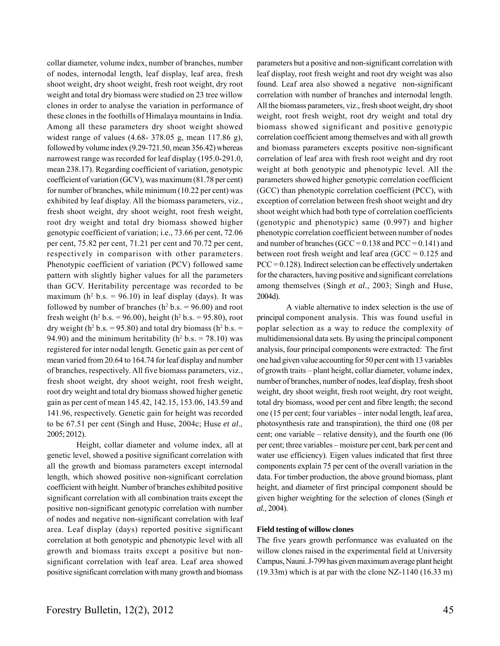collar diameter, volume index, number of branches, number of nodes, internodal length, leaf display, leaf area, fresh shoot weight, dry shoot weight, fresh root weight, dry root weight and total dry biomass were studied on 23 tree willow clones in order to analyse the variation in performance of these clones in the foothills of Himalaya mountains in India. Among all these parameters dry shoot weight showed widest range of values (4.68- 378.05 g, mean 117.86 g), followed by volume index (9.29-721.50, mean 356.42) whereas narrowest range was recorded for leaf display (195.0-291.0, mean 238.17). Regarding coefficient of variation, genotypic coefficient of variation (GCV), was maximum (81.78 per cent) for number of branches, while minimum (10.22 per cent) was exhibited by leaf display. All the biomass parameters, viz., fresh shoot weight, dry shoot weight, root fresh weight, root dry weight and total dry biomass showed higher genotypic coefficient of variation; i.e., 73.66 per cent, 72.06 per cent, 75.82 per cent, 71.21 per cent and 70.72 per cent, respectively in comparison with other parameters. Phenotypic coefficient of variation (PCV) followed same pattern with slightly higher values for all the parameters than GCV. Heritability percentage was recorded to be maximum ( $h^2$  b.s. = 96.10) in leaf display (days). It was followed by number of branches  $(h^2 b.s. = 96.00)$  and root fresh weight ( $h^2 b.s. = 96.00$ ), height ( $h^2 b.s. = 95.80$ ), root dry weight ( $h^2$  b.s. = 95.80) and total dry biomass ( $h^2$  b.s. = 94.90) and the minimum heritability ( $h^2$  b.s. = 78.10) was registered for inter nodal length. Genetic gain as per cent of mean varied from 20.64 to 164.74 for leaf display and number of branches, respectively. All five biomass parameters, viz., fresh shoot weight, dry shoot weight, root fresh weight, root dry weight and total dry biomass showed higher genetic gain as per cent of mean 145.42, 142.15, 153.06, 143.59 and 141.96, respectively. Genetic gain for height was recorded to be 67.51 per cent (Singh and Huse, 2004c; Huse *et al*., 2005; 2012).

Height, collar diameter and volume index, all at genetic level, showed a positive significant correlation with all the growth and biomass parameters except internodal length, which showed positive non-significant correlation coefficient with height. Number of branches exhibited positive significant correlation with all combination traits except the positive non-significant genotypic correlation with number of nodes and negative non-significant correlation with leaf area. Leaf display (days) reported positive significant correlation at both genotypic and phenotypic level with all growth and biomass traits except a positive but nonsignificant correlation with leaf area. Leaf area showed positive significant correlation with many growth and biomass

parameters but a positive and non-significant correlation with leaf display, root fresh weight and root dry weight was also found. Leaf area also showed a negative non-significant correlation with number of branches and internodal length. All the biomass parameters, viz., fresh shoot weight, dry shoot weight, root fresh weight, root dry weight and total dry biomass showed significant and positive genotypic correlation coefficient among themselves and with all growth and biomass parameters excepts positive non-significant correlation of leaf area with fresh root weight and dry root weight at both genotypic and phenotypic level. All the parameters showed higher genotypic correlation coefficient (GCC) than phenotypic correlation coefficient (PCC), with exception of correlation between fresh shoot weight and dry shoot weight which had both type of correlation coefficients (genotypic and phenotypic) same (0.997) and higher phenotypic correlation coefficient between number of nodes and number of branches (GCC =  $0.138$  and PCC =  $0.141$ ) and between root fresh weight and leaf area (GCC =  $0.125$  and  $PCC = 0.128$ ). Indirect selection can be effectively undertaken for the characters, having positive and significant correlations among themselves (Singh *et al.,* 2003; Singh and Huse, 2004d).

A viable alternative to index selection is the use of principal component analysis. This was found useful in poplar selection as a way to reduce the complexity of multidimensional data sets. By using the principal component analysis, four principal components were extracted: The first one had given value accounting for 50 per cent with 13 variables of growth traits – plant height, collar diameter, volume index, number of branches, number of nodes, leaf display, fresh shoot weight, dry shoot weight, fresh root weight, dry root weight, total dry biomass, wood per cent and fibre length; the second one (15 per cent; four variables – inter nodal length, leaf area, photosynthesis rate and transpiration), the third one (08 per cent; one variable – relative density), and the fourth one (06 per cent; three variables – moisture per cent, bark per cent and water use efficiency). Eigen values indicated that first three components explain 75 per cent of the overall variation in the data. For timber production, the above ground biomass, plant height, and diameter of first principal component should be given higher weighting for the selection of clones (Singh *et al.,* 2004).

#### **Field testing of willow clones**

The five years growth performance was evaluated on the willow clones raised in the experimental field at University Campus, Nauni. J-799 has given maximum average plant height (19.33m) which is at par with the clone NZ-1140 (16.33 m)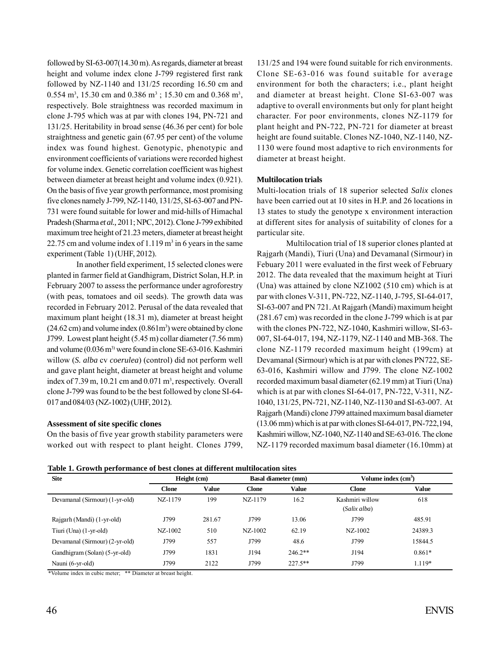followed by SI-63-007(14.30 m). As regards, diameter at breast height and volume index clone J-799 registered first rank followed by NZ-1140 and 131/25 recording 16.50 cm and 0.554 m<sup>3</sup>, 15.30 cm and 0.386 m<sup>3</sup>; 15.30 cm and 0.368 m<sup>3</sup>, respectively. Bole straightness was recorded maximum in clone J-795 which was at par with clones 194, PN-721 and 131/25. Heritability in broad sense (46.36 per cent) for bole straightness and genetic gain (67.95 per cent) of the volume index was found highest. Genotypic, phenotypic and environment coefficients of variations were recorded highest for volume index. Genetic correlation coefficient was highest between diameter at breast height and volume index (0.921). On the basis of five year growth performance, most promising five clones namely J-799, NZ-1140, 131/25, SI-63-007 and PN-731 were found suitable for lower and mid-hills of Himachal Pradesh (Sharma *et al.,* 2011; NPC, 2012). Clone J-799 exhibited maximum tree height of 21.23 meters, diameter at breast height 22.75 cm and volume index of  $1.119 \text{ m}^3$  in 6 years in the same experiment (Table 1) (UHF, 2012).

In another field experiment, 15 selected clones were planted in farmer field at Gandhigram, District Solan, H.P. in February 2007 to assess the performance under agroforestry (with peas, tomatoes and oil seeds). The growth data was recorded in February 2012. Perusal of the data revealed that maximum plant height (18.31 m), diameter at breast height  $(24.62 \text{ cm})$  and volume index  $(0.861 \text{ m}^3)$  were obtained by clone J799. Lowest plant height (5.45 m) collar diameter (7.56 mm) and volume (0.036 m<sup>3)</sup> were found in clone SE-63-016. Kashmiri willow (*S. alba* cv *coerulea*) (control) did not perform well and gave plant height, diameter at breast height and volume index of 7.39 m, 10.21 cm and 0.071 m<sup>3</sup>, respectively. Overall clone J-799 was found to be the best followed by clone SI-64- 017 and 084/03 (NZ-1002) (UHF, 2012).

#### **Assessment of site specific clones**

On the basis of five year growth stability parameters were worked out with respect to plant height. Clones J799, 131/25 and 194 were found suitable for rich environments. Clone SE-63-016 was found suitable for average environment for both the characters; i.e., plant height and diameter at breast height. Clone SI-63-007 was adaptive to overall environments but only for plant height character. For poor environments, clones NZ-1179 for plant height and PN-722, PN-721 for diameter at breast height are found suitable. Clones NZ-1040, NZ-1140, NZ-1130 were found most adaptive to rich environments for diameter at breast height.

#### **Multilocation trials**

Multi-location trials of 18 superior selected *Salix* clones have been carried out at 10 sites in H.P. and 26 locations in 13 states to study the genotype x environment interaction at different sites for analysis of suitability of clones for a particular site.

Multilocation trial of 18 superior clones planted at Rajgarh (Mandi), Tiuri (Una) and Devamanal (Sirmour) in Febuary 2011 were evaluated in the first week of February 2012. The data revealed that the maximum height at Tiuri (Una) was attained by clone NZ1002 (510 cm) which is at par with clones V-311, PN-722, NZ-1140, J-795, SI-64-017, SI-63-007 and PN 721. At Rajgarh (Mandi) maximum height (281.67 cm) was recorded in the clone J-799 which is at par with the clones PN-722, NZ-1040, Kashmiri willow, SI-63- 007, SI-64-017, 194, NZ-1179, NZ-1140 and MB-368. The clone NZ-1179 recorded maximum height (199cm) at Devamanal (Sirmour) which is at par with clones PN722, SE-63-016, Kashmiri willow and J799. The clone NZ-1002 recorded maximum basal diameter (62.19 mm) at Tiuri (Una) which is at par with clones SI-64-017, PN-722, V-311, NZ-1040, 131/25, PN-721, NZ-1140, NZ-1130 and SI-63-007. At Rajgarh (Mandi) clone J799 attained maximum basal diameter (13.06 mm) which is at par with clones SI-64-017, PN-722,194, Kashmiri willow, NZ-1040, NZ-1140 and SE-63-016. The clone NZ-1179 recorded maximum basal diameter (16.10mm) at

**Table 1. Growth performance of best clones at different multilocation sites**

| $\overline{\phantom{a}}$<br><b>Site</b> | Height (cm)  |              | <b>Basal diameter (mm)</b> |              | Volume index $(cm3)$ |              |  |
|-----------------------------------------|--------------|--------------|----------------------------|--------------|----------------------|--------------|--|
|                                         | <b>Clone</b> | <b>Value</b> | <b>Clone</b>               | <b>Value</b> | <b>Clone</b>         | <b>Value</b> |  |
| Devamanal (Sirmour) (1-yr-old)          | NZ-1179      | 199          | NZ-1179                    | 16.2         | Kashmiri willow      | 618          |  |
|                                         |              |              |                            |              | (Salix alba)         |              |  |
| Rajgarh (Mandi) (1-yr-old)              | J799         | 281.67       | J799                       | 13.06        | J799                 | 485.91       |  |
| Tiuri (Una) (1-yr-old)                  | $NZ-1002$    | 510          | $NZ-1002$                  | 62.19        | $NZ-1002$            | 24389.3      |  |
| Devamanal (Sirmour) (2-yr-old)          | J799         | 557          | J799                       | 48.6         | J799                 | 15844.5      |  |
| Gandhigram (Solan) (5-yr-old)           | J799         | 1831         | J194                       | $246.2**$    | J194                 | $0.861*$     |  |
| Nauni (6-yr-old)                        | J799         | 2122         | J799                       | $227.5**$    | J799                 | $1.119*$     |  |

\*Volume index in cubic meter; \*\* Diameter at breast height.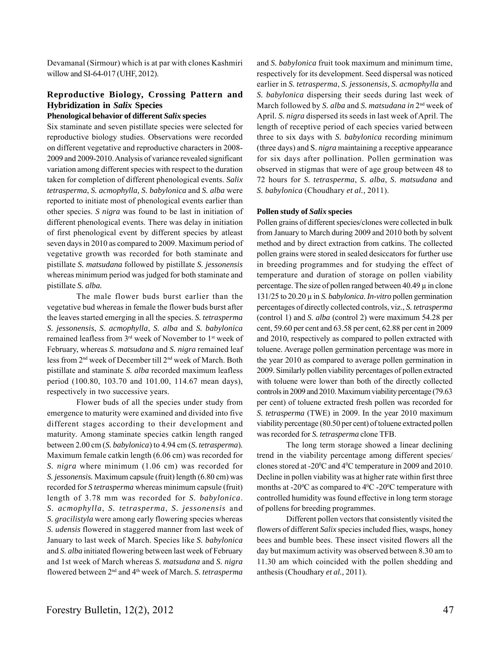Devamanal (Sirmour) which is at par with clones Kashmiri willow and SI-64-017 (UHF, 2012).

## **Reproductive Biology, Crossing Pattern and Hybridization in** *Salix* **Species**

#### **Phenological behavior of different** *Salix* **species**

Six staminate and seven pistillate species were selected for reproductive biology studies. Observations were recorded on different vegetative and reproductive characters in 2008- 2009 and 2009-2010. Analysis of variance revealed significant variation among different species with respect to the duration taken for completion of different phenological events. *Salix tetrasperma*, *S. acmophylla, S. babylonica* and *S. alba* were reported to initiate most of phenological events earlier than other species. *S nigra* was found to be last in initiation of different phenological events. There was delay in initiation of first phenological event by different species by atleast seven days in 2010 as compared to 2009. Maximum period of vegetative growth was recorded for both staminate and pistillate *S. matsudana* followed by pistillate *S. jessonensis* whereas minimum period was judged for both staminate and pistillate *S. alba.*

The male flower buds burst earlier than the vegetative bud whereas in female the flower buds burst after the leaves started emerging in all the species. *S. tetrasperma S. jessonensis*, *S. acmophylla*, *S. alba* and *S. babylonica* remained leafless from 3<sup>rd</sup> week of November to 1<sup>st</sup> week of February, whereas *S. matsudana* and *S. nigra* remained leaf less from 2nd week of December till 2nd week of March. Both pistillate and staminate *S. alba* recorded maximum leafless period (100.80, 103.70 and 101.00, 114.67 mean days), respectively in two successive years.

Flower buds of all the species under study from emergence to maturity were examined and divided into five different stages according to their development and maturity. Among staminate species catkin length ranged between 2.00 cm (*S. babylonica*) to 4.94 cm (*S. tetrasperma*)*.* Maximum female catkin length (6.06 cm) was recorded for *S. nigra* where minimum (1.06 cm) was recorded for *S. jessonensis.* Maximum capsule (fruit) length (6.80 cm) was recorded for *S tetrasperma* whereas minimum capsule (fruit) length of 3.78 mm was recorded for *S. babylonica*. *S. acmophylla*, *S. tetrasperma*, *S. jessonensis* and *S. gracilistyla* were among early flowering species whereas *S. udensis* flowered in staggered manner from last week of January to last week of March. Species like *S. babylonica* and *S. alba* initiated flowering between last week of February and 1st week of March whereas *S. matsudana* and *S. nigra* flowered between 2nd and 4th week of March. *S. tetrasperma*

and *S. babylonica* fruit took maximum and minimum time, respectively for its development. Seed dispersal was noticed earlier in *S. tetrasperma*, *S. jessonensis, S. acmophylla* and *S. babylonica* dispersing their seeds during last week of March followed by *S. alba* and *S. matsudana in* 2nd week of April*. S. nigra* dispersed its seeds in last week of April. The length of receptive period of each species varied between three to six days with *S. babylonica* recording minimum (three days) and S. *nigra* maintaining a receptive appearance for six days after pollination. Pollen germination was observed in stigmas that were of age group between 48 to 72 hours for *S. tetrasperma*, *S. alba*, *S. matsudana* and *S. babylonica* (Choudhary *et al.,* 2011).

#### **Pollen study of** *Salix* **species**

Pollen grains of different species/clones were collected in bulk from January to March during 2009 and 2010 both by solvent method and by direct extraction from catkins. The collected pollen grains were stored in sealed desiccators for further use in breeding programmes and for studying the effect of temperature and duration of storage on pollen viability percentage. The size of pollen ranged between 40.49 μ in clone 131/25 to 20.20 μ in *S. babylonica*. *In-vitro* pollen germination percentages of directly collected controls, viz., *S. tetrasperma* (control 1) and *S. alba* (control 2) were maximum 54.28 per cent, 59.60 per cent and 63.58 per cent, 62.88 per cent in 2009 and 2010, respectively as compared to pollen extracted with toluene. Average pollen germination percentage was more in the year 2010 as compared to average pollen germination in 2009. Similarly pollen viability percentages of pollen extracted with toluene were lower than both of the directly collected controls in 2009 and 2010. Maximum viability percentage (79.63) per cent) of toluene extracted fresh pollen was recorded for *S. tetrasperma* (TWE) in 2009. In the year 2010 maximum viability percentage (80.50 per cent) of toluene extracted pollen was recorded for *S. tetrasperma* clone TFB.

The long term storage showed a linear declining trend in the viability percentage among different species/ clones stored at -20 $\rm{^0C}$  and 4 $\rm{^0C}$  temperature in 2009 and 2010. Decline in pollen viability was at higher rate within first three months at -20 $\rm{^{\circ}C}$  as compared to 4 $\rm{^{\circ}C}$  -20 $\rm{^{\circ}C}$  temperature with controlled humidity was found effective in long term storage of pollens for breeding programmes.

Different pollen vectors that consistently visited the flowers of different *Salix* species included flies, wasps, honey bees and bumble bees. These insect visited flowers all the day but maximum activity was observed between 8.30 am to 11.30 am which coincided with the pollen shedding and anthesis (Choudhary *et al.,* 2011).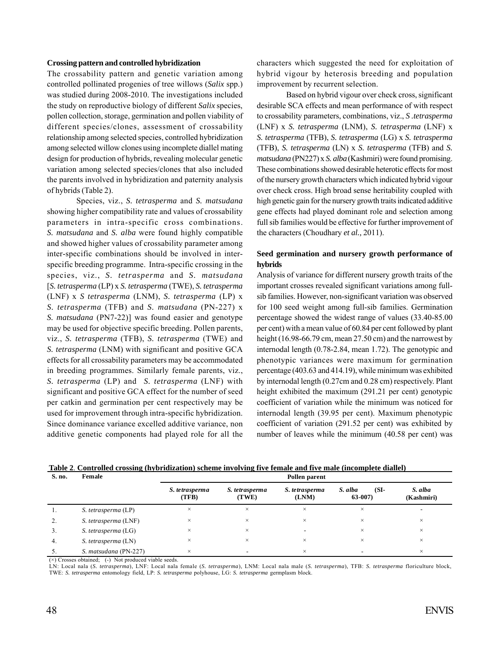#### **Crossing pattern and controlled hybridization**

The crossability pattern and genetic variation among controlled pollinated progenies of tree willows (*Salix* spp.) was studied during 2008-2010. The investigations included the study on reproductive biology of different *Salix* species, pollen collection, storage, germination and pollen viability of different species/clones, assessment of crossability relationship among selected species, controlled hybridization among selected willow clones using incomplete diallel mating design for production of hybrids, revealing molecular genetic variation among selected species/clones that also included the parents involved in hybridization and paternity analysis of hybrids (Table 2).

Species, viz., *S. tetrasperma* and *S. matsudana* showing higher compatibility rate and values of crossability parameters in intra-specific cross combinations. *S. matsudana* and *S. alba* were found highly compatible and showed higher values of crossability parameter among inter-specific combinations should be involved in interspecific breeding programme. Intra-specific crossing in the species, viz., *S. tetrasperma* and *S. matsudana* [*S. tetrasperma* (LP) x *S. tetrasperma* (TWE), *S. tetrasperma* (LNF) x *S tetrasperma* (LNM), *S. tetrasperma* (LP) x *S. tetrasperma* (TFB) and *S. matsudana* (PN-227) x *S. matsudana* (PN7-22)] was found easier and genotype may be used for objective specific breeding. Pollen parents, viz., *S. tetrasperma* (TFB), *S. tetrasperma* (TWE) and *S. tetrasperma* (LNM) with significant and positive GCA effects for all crossability parameters may be accommodated in breeding programmes. Similarly female parents, viz., *S. tetrasperma* (LP) and *S. tetrasperma* (LNF) with significant and positive GCA effect for the number of seed per catkin and germination per cent respectively may be used for improvement through intra-specific hybridization. Since dominance variance excelled additive variance, non additive genetic components had played role for all the

characters which suggested the need for exploitation of hybrid vigour by heterosis breeding and population improvement by recurrent selection.

Based on hybrid vigour over check cross, significant desirable SCA effects and mean performance of with respect to crossability parameters, combinations, viz., *S .tetrasperma* (LNF) x *S. tetrasperma* (LNM), *S. tetrasperma* (LNF) x *S. tetrasperma* (TFB), *S. tetrasperma* (LG) x *S. tetrasperma* (TFB), *S. tetrasperma* (LN) x *S. tetrasperma* (TFB) and *S. matsudana* (PN227) x *S. alba* (Kashmiri) were found promising. These combinations showed desirable heterotic effects for most of the nursery growth characters which indicated hybrid vigour over check cross. High broad sense heritability coupled with high genetic gain for the nursery growth traits indicated additive gene effects had played dominant role and selection among full sib families would be effective for further improvement of the characters (Choudhary *et al.,* 2011).

#### **Seed germination and nursery growth performance of hybrids**

Analysis of variance for different nursery growth traits of the important crosses revealed significant variations among fullsib families. However, non-significant variation was observed for 100 seed weight among full-sib families. Germination percentage showed the widest range of values (33.40-85.00 per cent) with a mean value of 60.84 per cent followed by plant height (16.98-66.79 cm, mean 27.50 cm) and the narrowest by internodal length (0.78-2.84, mean 1.72). The genotypic and phenotypic variances were maximum for germination percentage (403.63 and 414.19), while minimum was exhibited by internodal length (0.27cm and 0.28 cm) respectively. Plant height exhibited the maximum (291.21 per cent) genotypic coefficient of variation while the minimum was noticed for internodal length (39.95 per cent). Maximum phenotypic coefficient of variation (291.52 per cent) was exhibited by number of leaves while the minimum (40.58 per cent) was

| S. no. | Female                | Pollen parent           |                         |                         |                               |                       |  |
|--------|-----------------------|-------------------------|-------------------------|-------------------------|-------------------------------|-----------------------|--|
|        |                       | S. tetrasperma<br>(TFB) | S. tetrasperma<br>(TWE) | S. tetrasperma<br>(LNM) | $(SI-$<br>S. alba<br>$63-007$ | S. alba<br>(Kashmiri) |  |
|        | S. tetrasperma (LP)   | $\times$                | $\times$                | ×                       | $\times$                      |                       |  |
| 2.     | S. tetrasperma (LNF)  | $\times$                | $\times$                | ×                       | $\times$                      | $\times$              |  |
|        | S. tetrasperma (LG)   | ×                       | $\times$                |                         | $\times$                      | $\times$              |  |
| 4.     | S. tetrasperma (LN)   | $\times$                | $\times$                | ×                       | $\times$                      | $\times$              |  |
|        | S. matsudana (PN-227) | $\times$                |                         | ×                       |                               | $\times$              |  |

**Table 2**. **Controlled crossing (hybridization) scheme involving five female and five male (incomplete diallel)**

(×) Crosses obtained; (-) Not produced viable seeds.

LN: Local nala (*S. tetrasperma*), LNF: Local nala female (*S. tetrasperma*), LNM: Local nala male (*S. tetrasperma*), TFB: *S. tetrasperma* floriculture block, TWE: *S. tetrasperma* entomology field, LP: *S. tetrasperma* polyhouse, LG: *S. tetrasperma* germplasm block.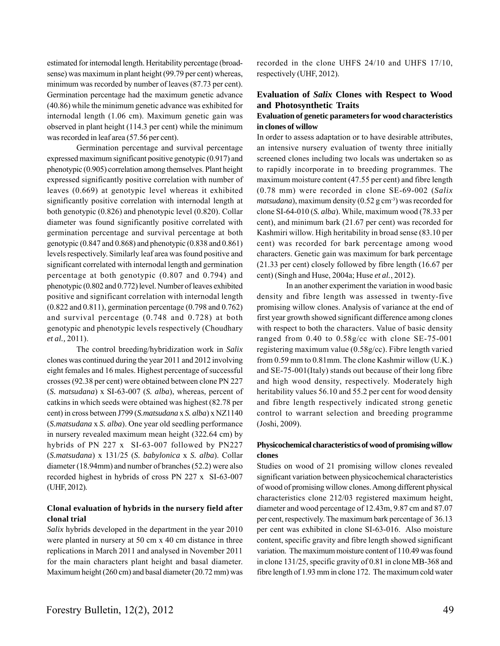estimated for internodal length. Heritability percentage (broadsense) was maximum in plant height (99.79 per cent) whereas, minimum was recorded by number of leaves (87.73 per cent). Germination percentage had the maximum genetic advance (40.86) while the minimum genetic advance was exhibited for internodal length (1.06 cm). Maximum genetic gain was observed in plant height (114.3 per cent) while the minimum was recorded in leaf area (57.56 per cent).

Germination percentage and survival percentage expressed maximum significant positive genotypic (0.917) and phenotypic (0.905) correlation among themselves. Plant height expressed significantly positive correlation with number of leaves (0.669) at genotypic level whereas it exhibited significantly positive correlation with internodal length at both genotypic (0.826) and phenotypic level (0.820). Collar diameter was found significantly positive correlated with germination percentage and survival percentage at both genotypic (0.847 and 0.868) and phenotypic (0.838 and 0.861) levels respectively. Similarly leaf area was found positive and significant correlated with internodal length and germination percentage at both genotypic (0.807 and 0.794) and phenotypic (0.802 and 0.772) level. Number of leaves exhibited positive and significant correlation with internodal length (0.822 and 0.811), germination percentage (0.798 and 0.762) and survival percentage (0.748 and 0.728) at both genotypic and phenotypic levels respectively (Choudhary *et al.,* 2011).

The control breeding/hybridization work in *Salix* clones was continued during the year 2011 and 2012 involving eight females and 16 males. Highest percentage of successful crosses (92.38 per cent) were obtained between clone PN 227 (*S. matsudana*) x SI-63-007 (*S. alba*), whereas, percent of catkins in which seeds were obtained was highest (82.78 per cent) in cross between J799 (*S.matsudana* x *S. alba*) x NZ1140 (*S.matsudana* x *S. alba*). One year old seedling performance in nursery revealed maximum mean height (322.64 cm) by hybrids of PN 227 x SI-63-007 followed by PN227 (*S.matsudana*) x 131/25 (*S. babylonica* x *S. alba*). Collar diameter (18.94mm) and number of branches (52.2) were also recorded highest in hybrids of cross PN 227 x SI-63-007 (UHF, 2012).

#### **Clonal evaluation of hybrids in the nursery field after clonal trial**

*Salix* hybrids developed in the department in the year 2010 were planted in nursery at 50 cm x 40 cm distance in three replications in March 2011 and analysed in November 2011 for the main characters plant height and basal diameter. Maximum height (260 cm) and basal diameter (20.72 mm) was recorded in the clone UHFS 24/10 and UHFS 17/10, respectively (UHF, 2012).

#### **Evaluation of** *Salix* **Clones with Respect to Wood and Photosynthetic Traits**

#### **Evaluation of genetic parameters for wood characteristics in clones of willow**

In order to assess adaptation or to have desirable attributes, an intensive nursery evaluation of twenty three initially screened clones including two locals was undertaken so as to rapidly incorporate in to breeding programmes. The maximum moisture content (47.55 per cent) and fibre length (0.78 mm) were recorded in clone SE-69-002 (*Salix matsudana*), maximum density (0.52 g cm<sup>-3</sup>) was recorded for clone SI-64-010 (*S. alba*). While, maximum wood (78.33 per cent), and minimum bark (21.67 per cent) was recorded for Kashmiri willow. High heritability in broad sense (83.10 per cent) was recorded for bark percentage among wood characters. Genetic gain was maximum for bark percentage (21.33 per cent) closely followed by fibre length (16.67 per cent) (Singh and Huse, 2004a; Huse *et al.*, 2012).

In an another experiment the variation in wood basic density and fibre length was assessed in twenty-five promising willow clones. Analysis of variance at the end of first year growth showed significant difference among clones with respect to both the characters. Value of basic density ranged from 0.40 to 0.58g/cc with clone SE-75-001 registering maximum value (0.58g/cc). Fibre length varied from 0.59 mm to 0.81mm. The clone Kashmir willow (U.K.) and SE-75-001(Italy) stands out because of their long fibre and high wood density, respectively. Moderately high heritability values 56.10 and 55.2 per cent for wood density and fibre length respectively indicated strong genetic control to warrant selection and breeding programme (Joshi, 2009).

#### **Physicochemical characteristics of wood of promising willow clones**

Studies on wood of 21 promising willow clones revealed significant variation between physicochemical characteristics of wood of promising willow clones. Among different physical characteristics clone 212/03 registered maximum height, diameter and wood percentage of 12.43m, 9.87 cm and 87.07 per cent, respectively. The maximum bark percentage of 36.13 per cent was exhibited in clone SI-63-016. Also moisture content, specific gravity and fibre length showed significant variation. The maximum moisture content of 110.49 was found in clone 131/25, specific gravity of 0.81 in clone MB-368 and fibre length of 1.93 mm in clone 172. The maximum cold water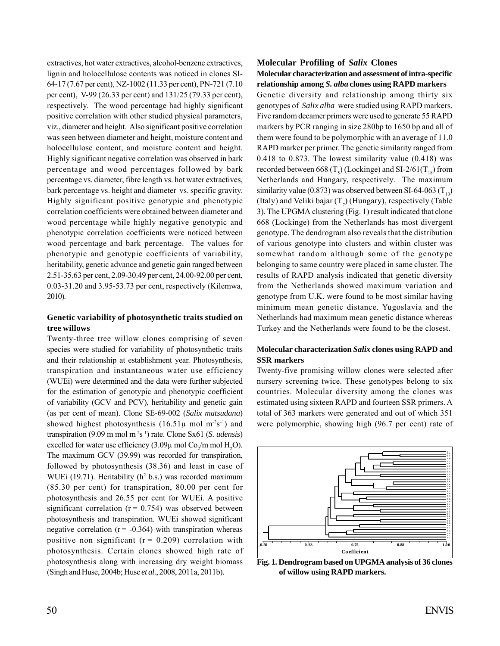extractives, hot water extractives, alcohol-benzene extractives, lignin and holocellulose contents was noticed in clones SI-64-17 (7.67 per cent), NZ-1002 (11.33 per cent), PN-721 (7.10 per cent), V-99 (26.33 per cent) and 131/25 (79.33 per cent), respectively. The wood percentage had highly significant positive correlation with other studied physical parameters, viz., diameter and height. Also significant positive correlation was seen between diameter and height, moisture content and holocellulose content, and moisture content and height. Highly significant negative correlation was observed in bark percentage and wood percentages followed by bark percentage vs. diameter, fibre length vs. hot water extractives, bark percentage vs. height and diameter vs. specific gravity. Highly significant positive genotypic and phenotypic correlation coefficients were obtained between diameter and wood percentage while highly negative genotypic and phenotypic correlation coefficients were noticed between wood percentage and bark percentage. The values for phenotypic and genotypic coefficients of variability, heritability, genetic advance and genetic gain ranged between 2.51-35.63 per cent, 2.09-30.49 per cent, 24.00-92.00 per cent, 0.03-31.20 and 3.95-53.73 per cent, respectively (Kilemwa, 2010).

#### **Genetic variability of photosynthetic traits studied on tree willows**

Twenty-three tree willow clones comprising of seven species were studied for variability of photosynthetic traits and their relationship at establishment year. Photosynthesis, transpiration and instantaneous water use efficiency (WUEi) were determined and the data were further subjected for the estimation of genotypic and phenotypic coefficient of variability (GCV and PCV), heritability and genetic gain (as per cent of mean). Clone SE-69-002 (*Salix matsudana*) showed highest photosynthesis  $(16.51\mu \text{ mol m}^2\text{s}^{-1})$  and transpiration (9.09 m mol m-2s-1) rate. Clone Sx61 (*S. udensis*) excelled for water use efficiency  $(3.09\mu \text{ mol } \text{Co}_2/\text{m } \text{mol } \text{H}_2\text{O})$ . The maximum GCV (39.99) was recorded for transpiration, followed by photosynthesis (38.36) and least in case of WUEi (19.71). Heritability ( $h^2$  b.s.) was recorded maximum (85.30 per cent) for transpiration, 80.00 per cent for photosynthesis and 26.55 per cent for WUEi. A positive significant correlation ( $r = 0.754$ ) was observed between photosynthesis and transpiration. WUEi showed significant negative correlation ( $r = -0.364$ ) with transpiration whereas positive non significant ( $r = 0.209$ ) correlation with photosynthesis. Certain clones showed high rate of photosynthesis along with increasing dry weight biomass (Singh and Huse, 2004b; Huse *et al.*, 2008, 2011a, 2011b).

#### **Molecular Profiling of** *Salix* **Clones**

#### **Molecular characterization and assessment of intra-specific relationship among** *S. alba* **clones using RAPD markers**

Genetic diversity and relationship among thirty six genotypes of *Salix alba* were studied using RAPD markers. Five random decamer primers were used to generate 55 RAPD markers by PCR ranging in size 280bp to 1650 bp and all of them were found to be polymorphic with an average of 11.0 RAPD marker per primer. The genetic similarity ranged from 0.418 to 0.873. The lowest similarity value (0.418) was recorded between 668 (T<sub>5</sub>) (Lockinge) and SI-2/61(T<sub>18</sub>) from Netherlands and Hungary, respectively. The maximum similarity value (0.873) was observed between SI-64-063 ( $T_{10}$ ) (Italy) and Veliki bajar  $(T_7)$  (Hungary), respectively (Table 3). The UPGMA clustering (Fig. 1) result indicated that clone 668 (Lockinge) from the Netherlands has most divergent genotype. The dendrogram also reveals that the distribution of various genotype into clusters and within cluster was somewhat random although some of the genotype belonging to same country were placed in same cluster. The results of RAPD analysis indicated that genetic diversity from the Netherlands showed maximum variation and genotype from U.K. were found to be most similar having minimum mean genetic distance. Yugoslavia and the Netherlands had maximum mean genetic distance whereas Turkey and the Netherlands were found to be the closest.

#### **Molecular characterization** *Salix* **clones using RAPD and SSR markers**

Twenty-five promising willow clones were selected after nursery screening twice. These genotypes belong to six countries. Molecular diversity among the clones was estimated using sixteen RAPD and fourteen SSR primers. A total of 363 markers were generated and out of which 351 were polymorphic, showing high (96.7 per cent) rate of



**Fig. 1. Dendrogram based on UPGMA analysis of 36 clones of willow using RAPD markers.**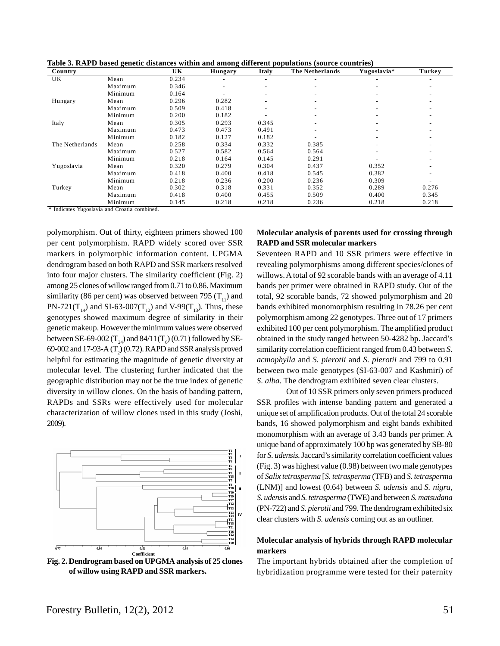|  |  | Table 3. RAPD based genetic distances within and among different populations (source countries) |
|--|--|-------------------------------------------------------------------------------------------------|
|  |  |                                                                                                 |

| Country              | -       | UK    | Hungary                  | Italy                    | <b>The Netherlands</b>   | Yugoslavia*              | Turkey |
|----------------------|---------|-------|--------------------------|--------------------------|--------------------------|--------------------------|--------|
| UK                   | Mean    | 0.234 | $\overline{\phantom{a}}$ | $\overline{\phantom{0}}$ |                          |                          |        |
|                      | Maximum | 0.346 | $\overline{\phantom{a}}$ | $\overline{\phantom{a}}$ | $\overline{\phantom{a}}$ |                          |        |
|                      | Minimum | 0.164 | $\overline{\phantom{a}}$ | $\overline{\phantom{0}}$ | $\overline{\phantom{a}}$ |                          |        |
| Hungary              | Mean    | 0.296 | 0.282                    | $\overline{\phantom{a}}$ | $\overline{\phantom{a}}$ | $\overline{\phantom{0}}$ |        |
|                      | Maximum | 0.509 | 0.418                    | $\overline{\phantom{a}}$ | $\overline{\phantom{a}}$ | $\overline{\phantom{0}}$ |        |
|                      | Minimum | 0.200 | 0.182                    | $\overline{\phantom{a}}$ | $\overline{\phantom{a}}$ | -                        |        |
| Italy                | Mean    | 0.305 | 0.293                    | 0.345                    | $\overline{\phantom{a}}$ |                          |        |
|                      | Maximum | 0.473 | 0.473                    | 0.491                    |                          |                          |        |
|                      | Minimum | 0.182 | 0.127                    | 0.182                    |                          |                          |        |
| The Netherlands      | Mean    | 0.258 | 0.334                    | 0.332                    | 0.385                    |                          |        |
|                      | Maximum | 0.527 | 0.582                    | 0.564                    | 0.564                    |                          |        |
|                      | Minimum | 0.218 | 0.164                    | 0.145                    | 0.291                    |                          |        |
| Yugoslavia           | Mean    | 0.320 | 0.279                    | 0.304                    | 0.437                    | 0.352                    |        |
|                      | Maximum | 0.418 | 0.400                    | 0.418                    | 0.545                    | 0.382                    |        |
|                      | Minimum | 0.218 | 0.236                    | 0.200                    | 0.236                    | 0.309                    |        |
| Turkey               | Mean    | 0.302 | 0.318                    | 0.331                    | 0.352                    | 0.289                    | 0.276  |
|                      | Maximum | 0.418 | 0.400                    | 0.455                    | 0.509                    | 0.400                    | 0.345  |
| $\sim$ $\sim$ $\sim$ | Minimum | 0.145 | 0.218                    | 0.218                    | 0.236                    | 0.218                    | 0.218  |

\* Indicates Yugoslavia and Croatia combined.

polymorphism. Out of thirty, eighteen primers showed 100 per cent polymorphism. RAPD widely scored over SSR markers in polymorphic information content. UPGMA dendrogram based on both RAPD and SSR markers resolved into four major clusters. The similarity coefficient (Fig. 2) among 25 clones of willow ranged from 0.71 to 0.86. Maximum similarity (86 per cent) was observed between 795  $(T_{11})$  and PN-721(T<sub>14</sub>) and SI-63-007(T<sub>12</sub>) and V-99(T<sub>13</sub>). Thus, these genotypes showed maximum degree of similarity in their genetic makeup. However the minimum values were observed between SE-69-002 ( $T_{24}$ ) and 84/11( $T_{6}$ ) (0.71) followed by SE-69-002 and 17-93-A  $(T_2)$  (0.72). RAPD and SSR analysis proved helpful for estimating the magnitude of genetic diversity at molecular level. The clustering further indicated that the geographic distribution may not be the true index of genetic diversity in willow clones. On the basis of banding pattern, RAPDs and SSRs were effectively used for molecular characterization of willow clones used in this study (Joshi, 2009).



**Fig. 2. Dendrogram based on UPGMA analysis of 25 clones of willow using RAPD and SSR markers.**

## **Molecular analysis of parents used for crossing through RAPD and SSR molecular markers**

Seventeen RAPD and 10 SSR primers were effective in revealing polymorphisms among different species/clones of willows. A total of 92 scorable bands with an average of 4.11 bands per primer were obtained in RAPD study. Out of the total, 92 scorable bands, 72 showed polymorphism and 20 bands exhibited monomorphism resulting in 78.26 per cent polymorphism among 22 genotypes. Three out of 17 primers exhibited 100 per cent polymorphism. The amplified product obtained in the study ranged between 50-4282 bp. Jaccard's similarity correlation coefficient ranged from 0.43 between *S. acmophylla* and *S. pierotii* and *S. pierotii* and 799 to 0.91 between two male genotypes (SI-63-007 and Kashmiri) of *S*. *alba*. The dendrogram exhibited seven clear clusters.

Out of 10 SSR primers only seven primers produced SSR profiles with intense banding pattern and generated a unique set of amplification products. Out of the total 24 scorable bands, 16 showed polymorphism and eight bands exhibited monomorphism with an average of 3.43 bands per primer. A unique band of approximately 100 bp was generated by SB-80 for *S. udensis.* Jaccard's similarity correlation coefficient values (Fig. 3) was highest value (0.98) between two male genotypes of *Salix tetrasperma* [*S. tetrasperma* (TFB) and *S. tetrasperma* (LNM)] and lowest (0.64) between *S. udensis* and *S. nigra*, *S. udensis* and *S. tetrasperma* (TWE) and between *S. matsudana* (PN-722) and *S. pierotii* and 799. The dendrogram exhibited six clear clusters with *S. udensis* coming out as an outliner.

#### **Molecular analysis of hybrids through RAPD molecular markers**

The important hybrids obtained after the completion of hybridization programme were tested for their paternity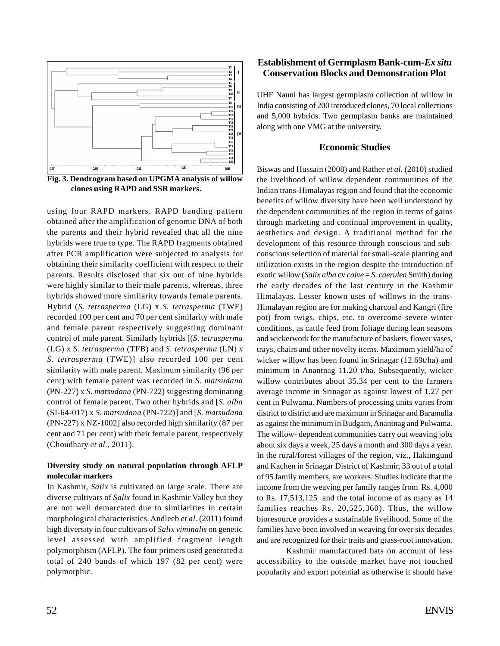

**Fig. 3. Dendrogram based on UPGMA analysis of willow clones using RAPD and SSR markers.**

using four RAPD markers. RAPD banding pattern obtained after the amplification of genomic DNA of both the parents and their hybrid revealed that all the nine hybrids were true to type. The RAPD fragments obtained after PCR amplification were subjected to analysis for obtaining their similarity coefficient with respect to their parents. Results disclosed that six out of nine hybrids were highly similar to their male parents, whereas, three hybrids showed more similarity towards female parents. Hybrid (*S. tetrasperma* (LG) x *S. tetrasperma* (TWE) recorded 100 per cent and 70 per cent similarity with male and female parent respectively suggesting dominant control of male parent. Similarly hybrids [(*S. tetrasperma* (LG) x *S. tetrasperma* (TFB) and *S. tetrasperma* (LN) *x S. tetrasperma* (TWE)] also recorded 100 per cent similarity with male parent. Maximum similarity (96 per cent) with female parent was recorded in *S. matsudana* (PN-227) x *S. matsudana* (PN-722) suggesting dominating control of female parent. Two other hybrids and [*S. alba* (SI-64-017) x *S. matsudana* (PN-722)] and [*S. matsudana* (PN-227) x NZ-1002] also recorded high similarity (87 per cent and 71 per cent) with their female parent, respectively (Choudhary *et al.,* 2011).

### **Diversity study on natural population through AFLP molecular markers**

In Kashmir, *Salix* is cultivated on large scale. There are diverse cultivars of *Salix* found in Kashmir Valley but they are not well demarcated due to similarities in certain morphological characteristics. Andleeb *et al.* (2011) found high diversity in four cultivars of *Salix viminalis* on genetic level assessed with amplified fragment length polymorphism (AFLP). The four primers used generated a total of 240 bands of which 197 (82 per cent) were polymorphic.

## **Establishment of Germplasm Bank-cum-***Ex situ* **Conservation Blocks and Demonstration Plot**

UHF Nauni has largest germplasm collection of willow in India consisting of 200 introduced clones, 70 local collections and 5,000 hybrids. Two germplasm banks are maintained along with one VMG at the university.

#### **Economic Studies**

Biswas and Hussain (2008) and Rather *et al.* (2010) studied the livelihood of willow dependent communities of the Indian trans-Himalayas region and found that the economic benefits of willow diversity have been well understood by the dependent communities of the region in terms of gains through marketing and continual improvement in quality, aesthetics and design. A traditional method for the development of this resource through conscious and subconscious selection of material for small-scale planting and utilization exists in the region despite the introduction of exotic willow (*Salix alba* cv *calve* = *S. caerulea* Smith) during the early decades of the last century in the Kashmir Himalayas. Lesser known uses of willows in the trans-Himalayan region are for making charcoal and Kangri (fire pot) from twigs, chips, etc. to overcome severe winter conditions, as cattle feed from foliage during lean seasons and wickerwork for the manufacture of baskets, flower vases, trays, chairs and other novelty items. Maximum yield/ha of wicker willow has been found in Srinagar (12.69t/ha) and minimum in Anantnag 11.20 t/ha. Subsequently, wicker willow contributes about 35.34 per cent to the farmers average income in Srinagar as against lowest of 1.27 per cent in Pulwama. Numbers of processing units varies from district to district and are maximum in Srinagar and Baramulla as against the minimum in Budgam, Anantnag and Pulwama. The willow- dependent communities carry out weaving jobs about six days a week, 25 days a month and 300 days a year. In the rural/forest villages of the region, viz., Hakimgund and Kachen in Srinagar District of Kashmir, 33 out of a total of 95 family members, are workers. Studies indicate that the income from the weaving per family ranges from Rs. 4,000 to Rs. 17,513,125 and the total income of as many as 14 families reaches Rs. 20,525,360). Thus, the willow bioresource provides a sustainable livelihood. Some of the families have been involved in weaving for over six decades and are recognized for their traits and grass-root innovation.

Kashmir manufactured bats on account of less accessibility to the outside market have not touched popularity and export potential as otherwise it should have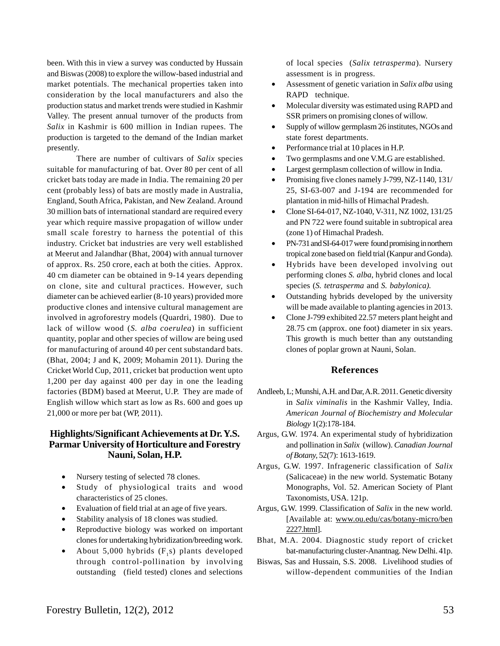been. With this in view a survey was conducted by Hussain and Biswas (2008) to explore the willow-based industrial and market potentials. The mechanical properties taken into consideration by the local manufacturers and also the production status and market trends were studied in Kashmir Valley. The present annual turnover of the products from *Salix* in Kashmir is 600 million in Indian rupees. The production is targeted to the demand of the Indian market presently.

There are number of cultivars of *Salix* species suitable for manufacturing of bat. Over 80 per cent of all cricket bats today are made in India. The remaining 20 per cent (probably less) of bats are mostly made in Australia, England, South Africa, Pakistan, and New Zealand. Around 30 million bats of international standard are required every year which require massive propagation of willow under small scale forestry to harness the potential of this industry. Cricket bat industries are very well established at Meerut and Jalandhar (Bhat, 2004) with annual turnover of approx. Rs. 250 crore, each at both the cities. Approx. 40 cm diameter can be obtained in 9-14 years depending on clone, site and cultural practices. However, such diameter can be achieved earlier (8-10 years) provided more productive clones and intensive cultural management are involved in agroforestry models (Quardri, 1980). Due to lack of willow wood (*S. alba coerulea*) in sufficient quantity, poplar and other species of willow are being used for manufacturing of around 40 per cent substandard bats. (Bhat, 2004; J and K, 2009; Mohamin 2011). During the Cricket World Cup, 2011, cricket bat production went upto 1,200 per day against 400 per day in one the leading factories (BDM) based at Meerut, U.P. They are made of English willow which start as low as Rs. 600 and goes up 21,000 or more per bat (WP, 2011).

## **Highlights/Significant Achievements at Dr. Y.S. Parmar University of Horticulture and Forestry Nauni, Solan, H.P.**

- Nursery testing of selected 78 clones.
- Study of physiological traits and wood characteristics of 25 clones.
- Evaluation of field trial at an age of five years.
- Stability analysis of 18 clones was studied.
- Reproductive biology was worked on important clones for undertaking hybridization/breeding work.
- About  $5,000$  hybrids  $(F,s)$  plants developed through control-pollination by involving outstanding (field tested) clones and selections

of local species (*Salix tetrasperma*). Nursery assessment is in progress.

- Assessment of genetic variation in *Salix alba* using RAPD technique.
- Molecular diversity was estimated using RAPD and SSR primers on promising clones of willow.
- Supply of willow germplasm 26 institutes, NGOs and state forest departments.
- Performance trial at 10 places in H.P.
- Two germplasms and one V.M.G are established.
- Largest germplasm collection of willow in India.
- Promising five clones namely J-799, NZ-1140, 131/ 25, SI-63-007 and J-194 are recommended for plantation in mid-hills of Himachal Pradesh.
- Clone SI-64-017, NZ-1040, V-311, NZ 1002, 131/25 and PN 722 were found suitable in subtropical area (zone 1) of Himachal Pradesh.
- PN-731 and SI-64-017 were found promising in northern tropical zone based on field trial (Kanpur and Gonda).
- Hybrids have been developed involving out performing clones *S. alba*, hybrid clones and local species (*S. tetrasperma* and *S. babylonica).*
- Outstanding hybrids developed by the university will be made available to planting agencies in 2013.
- Clone J-799 exhibited 22.57 meters plant height and 28.75 cm (approx. one foot) diameter in six years. This growth is much better than any outstanding clones of poplar grown at Nauni, Solan.

### **References**

- Andleeb, L; Munshi, A.H. and Dar, A.R. 2011. Genetic diversity in *Salix viminalis* in the Kashmir Valley, India. *American Journal of Biochemistry and Molecular Biology* 1(2):178-184.
- Argus, G.W. 1974. An experimental study of hybridization and pollination in *Salix* (willow). *Canadian Journal of Botany,* 52(7): 1613-1619.
- Argus, G.W. 1997. Infrageneric classification of *Salix* (Salicaceae) in the new world. Systematic Botany Monographs, Vol. 52. American Society of Plant Taxonomists, USA. 121p.
- Argus, G.W. 1999. Classification of *Salix* in the new world. [Available at: www.ou.edu/cas/botany-micro/ben 2227.html].
- Bhat, M.A. 2004. Diagnostic study report of cricket bat-manufacturing cluster-Anantnag. New Delhi. 41p.
- Biswas, Sas and Hussain, S.S. 2008. Livelihood studies of willow-dependent communities of the Indian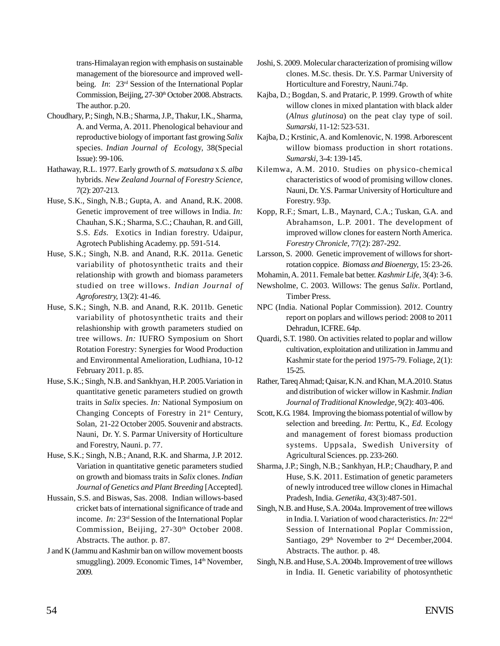trans-Himalayan region with emphasis on sustainable management of the bioresource and improved wellbeing. *In*: 23rd Session of the International Poplar Commission, Beijing, 27-30<sup>th</sup> October 2008. Abstracts. The author. p.20.

- Choudhary, P.; Singh, N.B.; Sharma, J.P., Thakur, I.K., Sharma, A. and Verma, A. 2011. Phenological behaviour and reproductive biology of important fast growing *Salix* species. *Indian Journal of Ecol*ogy, 38(Special Issue): 99-106.
- Hathaway, R.L. 1977. Early growth of *S. matsudana* x *S. alba* hybrids. *New Zealand Journal of Forestry Science,* 7(2): 207-213.
- Huse, S.K., Singh, N.B.; Gupta, A. and Anand, R.K. 2008. Genetic improvement of tree willows in India. *In:* Chauhan, S.K.; Sharma, S.C.; Chauhan, R. and Gill, S.S. *Eds.* Exotics in Indian forestry. Udaipur, Agrotech Publishing Academy. pp. 591-514.
- Huse, S.K.; Singh, N.B. and Anand, R.K. 2011a. Genetic variability of photosynthetic traits and their relationship with growth and biomass parameters studied on tree willows. *Indian Journal of Agroforestry,* 13(2): 41-46.
- Huse, S.K.; Singh, N.B. and Anand, R.K. 2011b. Genetic variability of photosynthetic traits and their relashionship with growth parameters studied on tree willows. *In:* IUFRO Symposium on Short Rotation Forestry: Synergies for Wood Production and Environmental Amelioration, Ludhiana, 10-12 February 2011. p. 85.
- Huse, S.K.; Singh, N.B. and Sankhyan, H.P. 2005.Variation in quantitative genetic parameters studied on growth traits in *Salix* species. *In:* National Symposium on Changing Concepts of Forestry in 21<sup>st</sup> Century, Solan, 21-22 October 2005. Souvenir and abstracts. Nauni, Dr. Y. S. Parmar University of Horticulture and Forestry, Nauni. p. 77.
- Huse, S.K.; Singh, N.B.; Anand, R.K. and Sharma, J.P. 2012. Variation in quantitative genetic parameters studied on growth and biomass traits in *Salix* clones. *Indian Journal of Genetics and Plant Breeding* [Accepted].
- Hussain, S.S. and Biswas, Sas. 2008. Indian willows-based cricket bats of international significance of trade and income. *In:* 23rd Session of the International Poplar Commission, Beijing, 27-30th October 2008. Abstracts. The author. p. 87.
- J and K (Jammu and Kashmir ban on willow movement boosts smuggling). 2009. Economic Times, 14<sup>th</sup> November, 2009.
- Joshi, S. 2009. Molecular characterization of promising willow clones. M.Sc. thesis. Dr. Y.S. Parmar University of Horticulture and Forestry, Nauni.74p.
- Kajba, D.; Bogdan, S. and Prataric, P. 1999. Growth of white willow clones in mixed plantation with black alder (*Alnus glutinosa*) on the peat clay type of soil. *Sumarski*, 11-12: 523-531.
- Kajba, D.; Krstinic, A. and Komlenovic, N. 1998. Arborescent willow biomass production in short rotations. *Sumarski*, 3-4: 139-145.
- Kilemwa, A.M. 2010. Studies on physico-chemical characteristics of wood of promising willow clones. Nauni, Dr. Y.S. Parmar University of Horticulture and Forestry. 93p.
- Kopp, R.F.; Smart, L.B., Maynard, C.A.; Tuskan, G.A. and Abrahamson, L.P. 2001. The development of improved willow clones for eastern North America. *Forestry Chronicle,* 77(2): 287-292.
- Larsson, S. 2000. Genetic improvement of willows for shortrotation coppice. *Biomass and Bioenergy,* 15: 23-26.
- Mohamin, A. 2011. Female bat better. *Kashmir Life*, 3(4): 3-6.
- Newsholme, C. 2003. Willows: The genus *Salix*. Portland, Timber Press.
- NPC (India. National Poplar Commission). 2012. Country report on poplars and willows period: 2008 to 2011 Dehradun, ICFRE. 64p.
- Quardi, S.T. 1980. On activities related to poplar and willow cultivation, exploitation and utilization in Jammu and Kashmir state for the period 1975-79. Foliage, 2(1): 15-25.
- Rather, Tareq Ahmad; Qaisar, K.N. and Khan, M.A.2010. Status and distribution of wicker willow in Kashmir. *Indian Journal of Traditional Knowledge,* 9(2): 403-406.
- Scott, K.G. 1984. Improving the biomass potential of willow by selection and breeding. *In*: Perttu, K., *Ed.* Ecology and management of forest biomass production systems. Uppsala, Swedish University of Agricultural Sciences. pp. 233-260.
- Sharma, J.P.; Singh, N.B.; Sankhyan, H.P.; Chaudhary, P. and Huse, S.K. 2011. Estimation of genetic parameters of newly introduced tree willow clones in Himachal Pradesh, India. *Genetika,* 43(3):487-501.
- Singh, N.B. and Huse, S.A. 2004a. Improvement of tree willows in India. I. Variation of wood characteristics. *In:* 22nd Session of International Poplar Commission, Santiago, 29<sup>th</sup> November to 2<sup>nd</sup> December, 2004. Abstracts. The author. p. 48.
- Singh, N.B. and Huse, S.A. 2004b. Improvement of tree willows in India. II. Genetic variability of photosynthetic